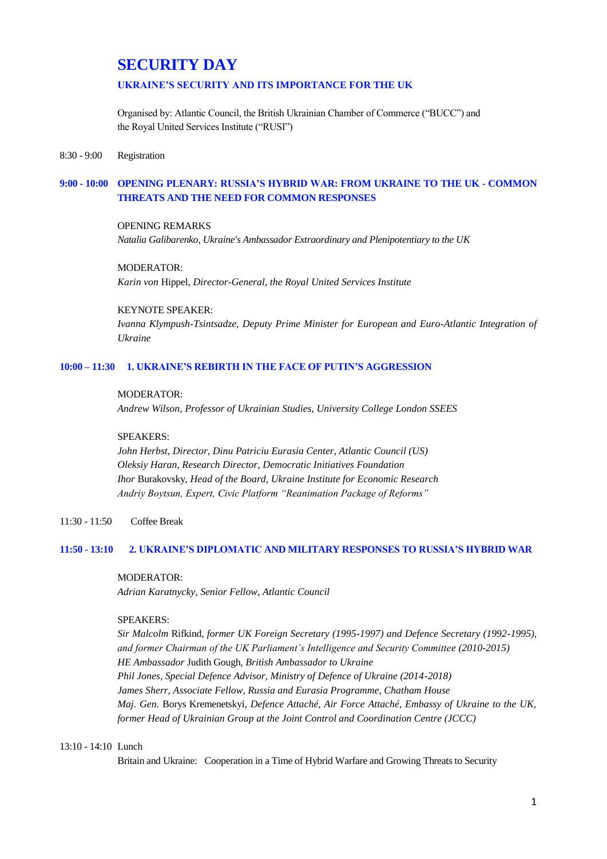# **SECURITY DAY**

## **UKRAINE'S SECURITY AND ITS IMPORTANCE FOR THE UK**

Organised by: Atlantic Council, the British Ukrainian Chamber of Commerce ("BUCC") and the Royal United Services Institute ("RUSI")

#### 8:30 - 9:00 Registration

## **9:00 - 10:00 OPENING PLENARY: RUSSIA'S HYBRID WAR: FROM UKRAINE TO THE UK - COMMON THREATS AND THE NEED FOR COMMON RESPONSES**

#### OPENING REMARKS

*Natalia Galibarenko, Ukraine's Ambassador Extraordinary and Plenipotentiary to the UK*

## MODERATOR: *Karin von* Hippel*, Director-General, the Royal United Services Institute*

## KEYNOTE SPEAKER:

*Ivanna Klympush-Tsintsadze, Deputy Prime Minister for European and Euro-Atlantic Integration of Ukraine*

#### **10:00 – 11:30 1. UKRAINE'S REBIRTH IN THE FACE OF PUTIN'S AGGRESSION**

#### MODERATOR:

*Andrew Wilson, Professor of Ukrainian Studies, University College London SSEES*

#### SPEAKERS:

*John Herbst, Director, Dinu Patriciu Eurasia Center, Atlantic Council (US) Oleksiy Haran, Research Director, Democratic Initiatives Foundation Ihor* Burakovsky*, Head of the Board, Ukraine Institute for Economic Research Andriy Boytsun, Expert, Civic Platform "Reanimation Package of Reforms"*

#### 11:30 - 11:50 Coffee Break

#### **11:50 - 13:10 2. UKRAINE'S DIPLOMATIC AND MILITARY RESPONSES TO RUSSIA'S HYBRID WAR**

#### MODERATOR:

*Adrian Karatnycky, Senior Fellow, Atlantic Council*

#### SPEAKERS:

*Sir Malcolm* Rifkind, *former UK Foreign Secretary (1995-1997) and Defence Secretary (1992-1995), and former Chairman of the UK Parliament's Intelligence and Security Committee (2010-2015) HE Ambassador* Judith Gough*, British Ambassador to Ukraine Phil Jones, Special Defence Advisor, Ministry of Defence of Ukraine (2014-2018) James Sherr, Associate Fellow, Russia and Eurasia Programme, Chatham House Maj. Gen.* Borys Kremenetskyi*, Defence Attaché, Air Force Attaché, Embassy of Ukraine to the UK, former Head of Ukrainian Group at the Joint Control and Coordination Centre (JCCC)*

#### 13:10 - 14:10 Lunch

Britain and Ukraine: Cooperation in a Time of Hybrid Warfare and Growing Threats to Security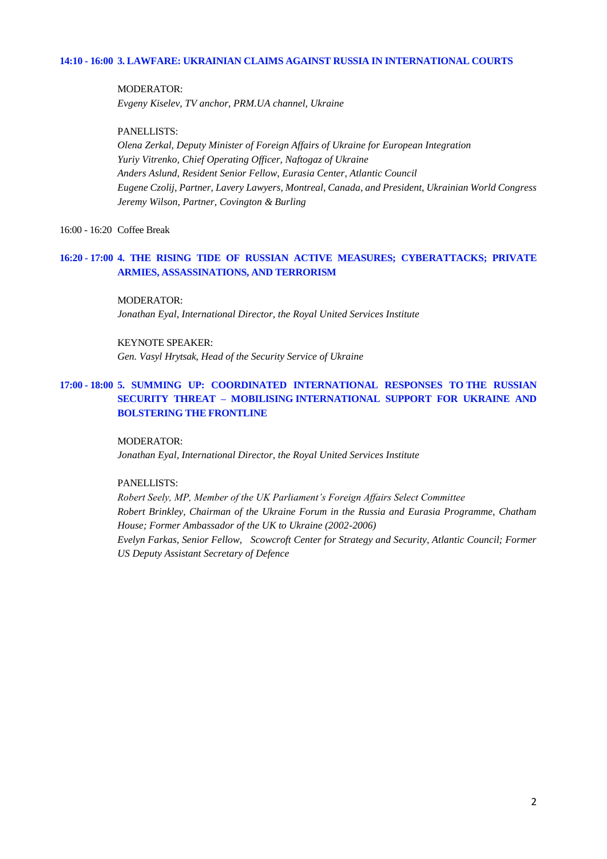## **14:10 - 16:00 3. LAWFARE: UKRAINIAN CLAIMS AGAINST RUSSIA IN INTERNATIONAL COURTS**

MODERATOR: *Evgeny Kiselev, TV anchor, PRM.UA channel, Ukraine*

PANELLISTS:

*Olena Zerkal, Deputy Minister of Foreign Affairs of Ukraine for European Integration Yuriy Vitrenko, Chief Operating Officer, Naftogaz of Ukraine Anders Aslund, Resident Senior Fellow, Eurasia Center, Atlantic Council Eugene Czolij, Partner, Lavery Lawyers, Montreal, Canada, and President, Ukrainian World Congress Jeremy Wilson, Partner, Covington & Burling*

16:00 - 16:20 Coffee Break

## **16:20 - 17:00 4. THE RISING TIDE OF RUSSIAN ACTIVE MEASURES; CYBERATTACKS; PRIVATE ARMIES, ASSASSINATIONS, AND TERRORISM**

MODERATOR:

*Jonathan Eyal, International Director, the Royal United Services Institute* 

KEYNOTE SPEAKER: *Gen. Vasyl Hrytsak, Head of the Security Service of Ukraine*

## **17:00 - 18:00 5. SUMMING UP: COORDINATED INTERNATIONAL RESPONSES TO THE RUSSIAN SECURITY THREAT – MOBILISING INTERNATIONAL SUPPORT FOR UKRAINE AND BOLSTERING THE FRONTLINE**

#### MODERATOR:

*Jonathan Eyal, International Director, the Royal United Services Institute* 

#### PANELLISTS:

*Robert Seely, MP, Member of the UK Parliament's Foreign Affairs Select Committee Robert Brinkley, Chairman of the Ukraine Forum in the Russia and Eurasia Programme, Chatham House; Former Ambassador of the UK to Ukraine (2002-2006) Evelyn Farkas, Senior Fellow, Scowcroft Center for Strategy and Security, Atlantic Council; Former US Deputy Assistant Secretary of Defence*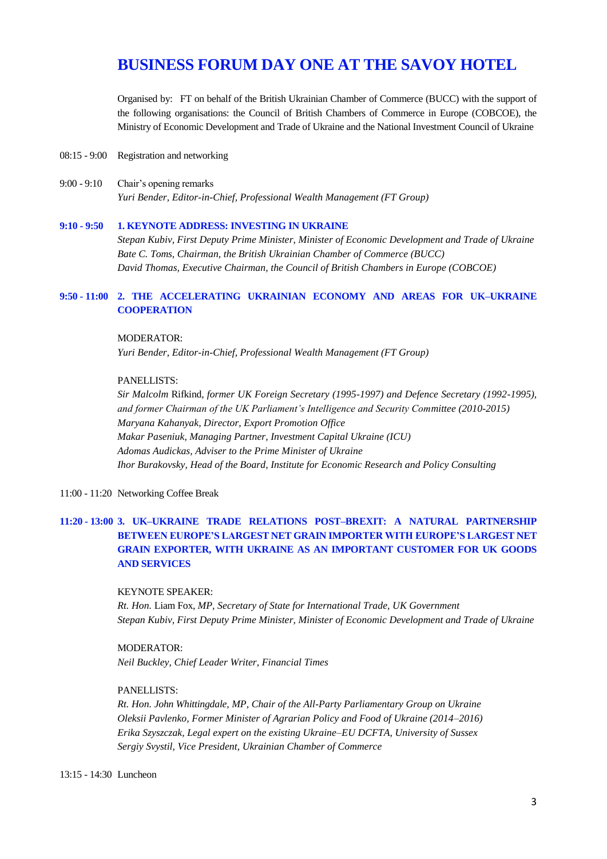# **BUSINESS FORUM DAY ONE AT THE SAVOY HOTEL**

Organised by: FT on behalf of the British Ukrainian Chamber of Commerce (BUCC) with the support of the following organisations: the Council of British Chambers of Commerce in Europe (COBCOE), the Ministry of Economic Development and Trade of Ukraine and the National Investment Council of Ukraine

- 08:15 9:00 Registration and networking
- 9:00 9:10 Chair's opening remarks *Yuri Bender, Editor-in-Chief, Professional Wealth Management (FT Group)*

#### **9:10 - 9:50 1. KEYNOTE ADDRESS: INVESTING IN UKRAINE**

*Stepan Kubiv, First Deputy Prime Minister, Minister of Economic Development and Trade of Ukraine Bate C. Toms, Chairman, the British Ukrainian Chamber of Commerce (BUCC) David Thomas, Executive Chairman, the Council of British Chambers in Europe (COBCOE)* 

## **9:50 - 11:00 2. THE ACCELERATING UKRAINIAN ECONOMY AND AREAS FOR UK–UKRAINE COOPERATION**

#### MODERATOR:

*Yuri Bender, Editor-in-Chief, Professional Wealth Management (FT Group)*

#### PANELLISTS:

*Sir Malcolm* Rifkind, *former UK Foreign Secretary (1995-1997) and Defence Secretary (1992-1995), and former Chairman of the UK Parliament's Intelligence and Security Committee (2010-2015) Maryana Kahanyak, Director, Export Promotion Office Makar Paseniuk, Managing Partner, Investment Capital Ukraine (ICU) Adomas Audickas, Adviser to the Prime Minister of Ukraine Ihor Burakovsky, Head of the Board, Institute for Economic Research and Policy Consulting*

11:00 - 11:20 Networking Coffee Break

# **11:20 - 13:00 3. UK–UKRAINE TRADE RELATIONS POST–BREXIT: A NATURAL PARTNERSHIP BETWEEN EUROPE'S LARGEST NET GRAIN IMPORTER WITH EUROPE'S LARGEST NET GRAIN EXPORTER, WITH UKRAINE AS AN IMPORTANT CUSTOMER FOR UK GOODS AND SERVICES**

#### KEYNOTE SPEAKER:

*Rt. Hon.* Liam Fox, *MP, Secretary of State for International Trade, UK Government Stepan Kubiv, First Deputy Prime Minister, Minister of Economic Development and Trade of Ukraine*

#### MODERATOR:

*Neil Buckley, Chief Leader Writer, Financial Times*

#### PANELLISTS:

*Rt. Hon. John Whittingdale, MP, Chair of the All-Party Parliamentary Group on Ukraine Oleksii Pavlenko, Former Minister of Agrarian Policy and Food of Ukraine (2014–2016) Erika Szyszczak, Legal expert on the existing Ukraine–EU DCFTA, University of Sussex Sergiy Svystil, Vice President, Ukrainian Chamber of Commerce*

13:15 - 14:30 Luncheon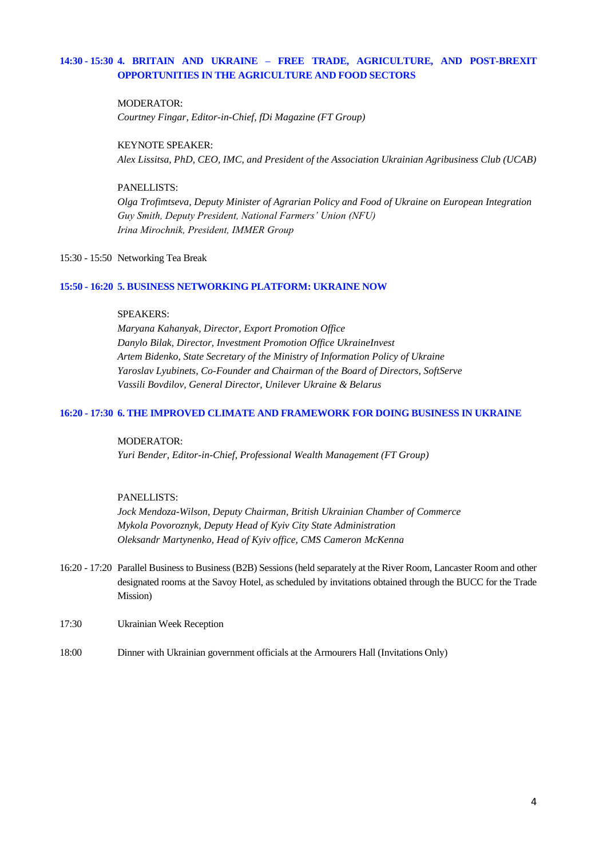## **14:30 - 15:30 4. BRITAIN AND UKRAINE – FREE TRADE, AGRICULTURE, AND POST-BREXIT OPPORTUNITIES IN THE AGRICULTURE AND FOOD SECTORS**

#### MODERATOR:

*Courtney Fingar, Editor-in-Chief, fDi Magazine (FT Group)*

#### KEYNOTE SPEAKER:

*Alex Lissitsa, PhD, CEO, IMC, and President of the Association Ukrainian Agribusiness Club (UCAB)*

#### PANELLISTS:

*Olga Trofimtseva, Deputy Minister of Agrarian Policy and Food of Ukraine on European Integration Guy Smith, Deputy President, National Farmers' Union (NFU) Irina Miroсhnik, President, IMMER Group*

## 15:30 - 15:50 Networking Tea Break

#### **15:50 - 16:20 5. BUSINESS NETWORKING PLATFORM: UKRAINE NOW**

#### SPEAKERS:

*Maryana Kahanyak, Director, Export Promotion Office Danylo Bilak, Director, Investment Promotion Office UkraineInvest Artem Bidenko, State Secretary of the Ministry of Information Policy of Ukraine Yaroslav Lyubinets, Co-Founder and Chairman of the Board of Directors, SoftServe Vassili Bovdilov, General Director, Unilever Ukraine & Belarus*

#### **16:20 - 17:30 6. THE IMPROVED CLIMATE AND FRAMEWORK FOR DOING BUSINESS IN UKRAINE**

#### MODERATOR:

*Yuri Bender, Editor-in-Chief, Professional Wealth Management (FT Group)*

#### PANELLISTS:

*Jock Mendoza-Wilson, Deputy Chairman, British Ukrainian Chamber of Commerce Mykola Povoroznyk, Deputy Head of Kyiv City State Administration Oleksandr Martynenko, Head of Kyiv office, CMS Cameron McKenna*

- 16:20 17:20 Parallel Business to Business (B2B) Sessions (held separately at the River Room, Lancaster Room and other designated rooms at the Savoy Hotel, as scheduled by invitations obtained through the BUCC for the Trade Mission)
- 17:30 Ukrainian Week Reception
- 18:00 Dinner with Ukrainian government officials at the Armourers Hall (Invitations Only)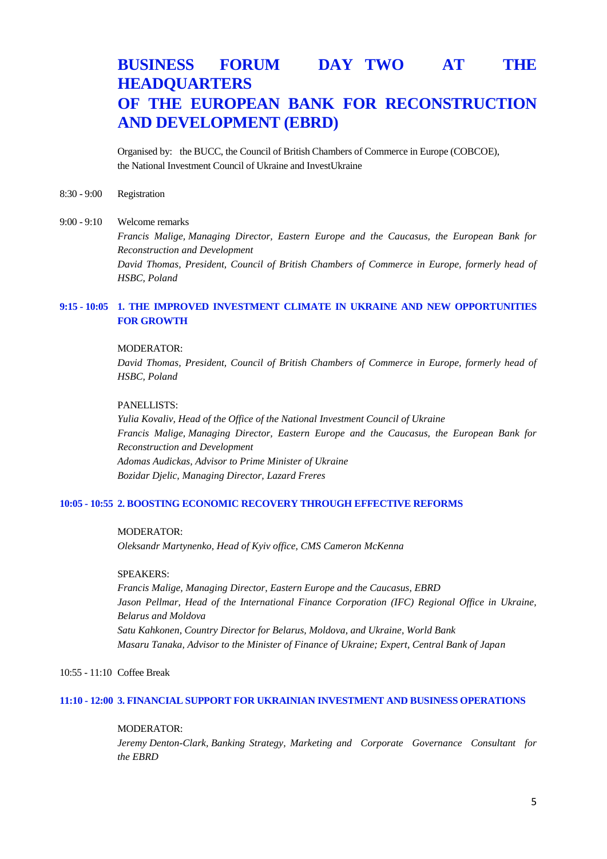# **BUSINESS FORUM DAY TWO AT THE HEADQUARTERS OF THE EUROPEAN BANK FOR RECONSTRUCTION AND DEVELOPMENT (EBRD)**

Organised by: the BUCC, the Council of British Chambers of Commerce in Europe (COBCOE), the National Investment Council of Ukraine and InvestUkraine

8:30 - 9:00 Registration

#### 9:00 - 9:10 Welcome remarks

*Francis Malige, Managing Director, Eastern Europe and the Caucasus, the European Bank for Reconstruction and Development David Thomas, President, Council of British Chambers of Commerce in Europe, formerly head of HSBC, Poland*

## **9:15 - 10:05 1. THE IMPROVED INVESTMENT CLIMATE IN UKRAINE AND NEW OPPORTUNITIES FOR GROWTH**

#### MODERATOR:

*David Thomas, President, Council of British Chambers of Commerce in Europe, formerly head of HSBC, Poland*

#### PANELLISTS:

*Yulia Kovaliv, Head of the Office of the National Investment Council of Ukraine Francis Malige, Managing Director, Eastern Europe and the Caucasus, the European Bank for Reconstruction and Development Adomas Audickas, Advisor to Prime Minister of Ukraine Bozidar Djelic, Managing Director, Lazard Freres*

#### **10:05 - 10:55 2. BOOSTING ECONOMIC RECOVERY THROUGH EFFECTIVE REFORMS**

#### MODERATOR:

*Oleksandr Martynenko, Head of Kyiv office, CMS Cameron McKenna*

## SPEAKERS:

*Francis Malige, Managing Director, Eastern Europe and the Caucasus, EBRD Jason Pellmar, Head of the International Finance Corporation (IFC) Regional Office in Ukraine, Belarus and Moldova Satu Kahkonen, Country Director for Belarus, Moldova, and Ukraine, World Bank Masaru Tanaka, Advisor to the Minister of Finance of Ukraine; Expert, Central Bank of Japan*

#### 10:55 - 11:10 Coffee Break

#### **11:10 - 12:00 3. FINANCIAL SUPPORT FOR UKRAINIAN INVESTMENT AND BUSINESS OPERATIONS**

#### MODERATOR:

*Jeremy Denton-Clark, Banking Strategy, Marketing and Corporate Governance Consultant for the EBRD*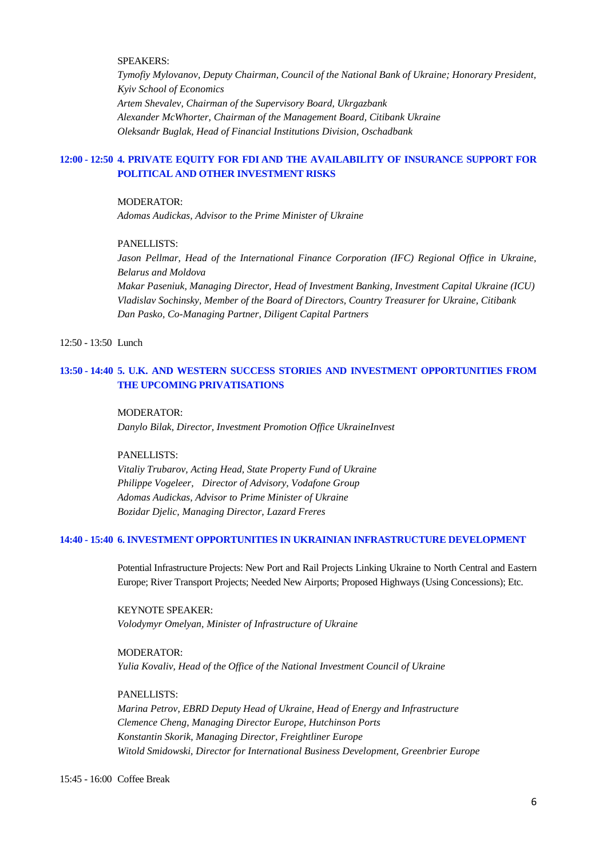## SPEAKERS:

*Tymofiy Mylovanov, Deputy Chairman, Council of the National Bank of Ukraine; Honorary President, Kyiv School of Economics Artem Shevalev, Chairman of the Supervisory Board, Ukrgazbank Alexander McWhorter, Chairman of the Management Board, Citibank Ukraine Oleksandr Buglak, Head of Financial Institutions Division, Oschadbank*

## **12:00 - 12:50 4. PRIVATE EQUITY FOR FDI AND THE AVAILABILITY OF INSURANCE SUPPORT FOR POLITICAL AND OTHER INVESTMENT RISKS**

#### MODERATOR:

*Adomas Audickas, Advisor to the Prime Minister of Ukraine*

#### PANELLISTS:

Jason Pellmar, Head of the International Finance Corporation (IFC) Regional Office in Ukraine, *Belarus and Moldova*

*Makar Paseniuk, Managing Director, Head of Investment Banking, Investment Capital Ukraine (ICU) Vladislav Sochinsky, Member of the Board of Directors, Country Treasurer for Ukraine, Citibank Dan Pasko, Co-Managing Partner, Diligent Capital Partners* 

12:50 - 13:50 Lunch

## **13:50 - 14:40 5. U.K. AND WESTERN SUCCESS STORIES AND INVESTMENT OPPORTUNITIES FROM THE UPCOMING PRIVATISATIONS**

#### MODERATOR:

*Danylo Bilak, Director, Investment Promotion Office UkraineInvest*

PANELLISTS:

*Vitaliy Trubarov, Acting Head, State Property Fund of Ukraine Philippe Vogeleer, Director of Advisory, Vodafone Group Adomas Audickas, Advisor to Prime Minister of Ukraine Bozidar Djelic, Managing Director, Lazard Freres*

#### **14:40 - 15:40 6. INVESTMENT OPPORTUNITIES IN UKRAINIAN INFRASTRUCTURE DEVELOPMENT**

Potential Infrastructure Projects: New Port and Rail Projects Linking Ukraine to North Central and Eastern Europe; River Transport Projects; Needed New Airports; Proposed Highways (Using Concessions); Etc.

KEYNOTE SPEAKER: *Volodymyr Omelyan, Minister of Infrastructure of Ukraine*

### MODERATOR:

*Yulia Kovaliv, Head of the Office of the National Investment Council of Ukraine*

#### PANELLISTS:

*Marina Petrov, EBRD Deputy Head of Ukraine, Head of Energy and Infrastructure Clemence Cheng, Managing Director Europe, Hutchinson Ports Konstantin Skorik, Managing Director, Freightliner Europe Witold Smidowski, Director for International Business Development, Greenbrier Europe*

15:45 - 16:00 Coffee Break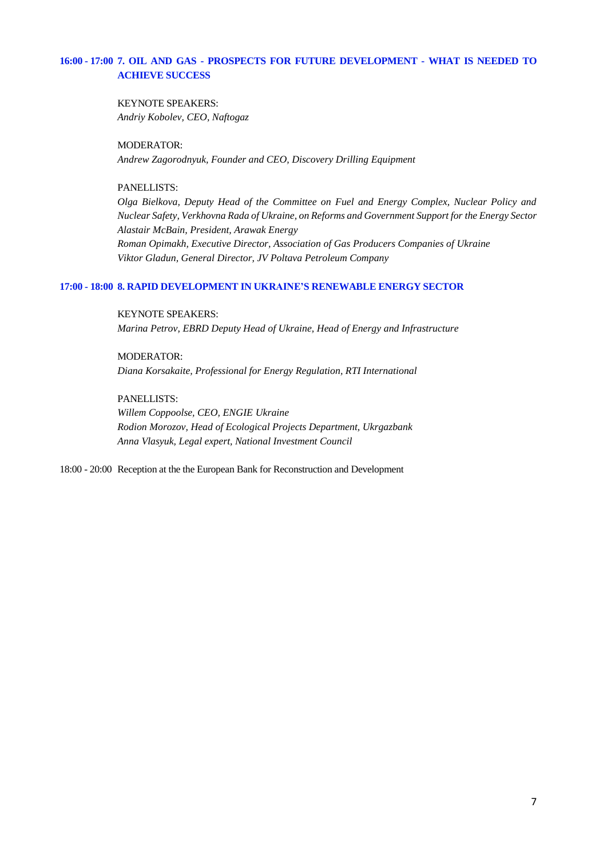## **16:00 - 17:00 7. OIL AND GAS - PROSPECTS FOR FUTURE DEVELOPMENT - WHAT IS NEEDED TO ACHIEVE SUCCESS**

KEYNOTE SPEAKERS: *Andriy Kobolev, CEO, Naftogaz*

MODERATOR: *Andrew Zagorodnyuk, Founder and CEO, Discovery Drilling Equipment*

## PANELLISTS:

*Olga Bielkova, Deputy Head of the Committee on Fuel and Energy Complex, Nuclear Policy and Nuclear Safety, Verkhovna Rada of Ukraine, on Reforms and Government Support for the Energy Sector Alastair McBain, President, Arawak Energy Roman Opimakh, Executive Director, Association of Gas Producers Companies of Ukraine Viktor Gladun, General Director, JV Poltava Petroleum Company*

## **17:00 - 18:00 8. RAPID DEVELOPMENT IN UKRAINE'S RENEWABLE ENERGY SECTOR**

KEYNOTE SPEAKERS:

*Marina Petrov, EBRD Deputy Head of Ukraine, Head of Energy and Infrastructure*

MODERATOR: *Diana Korsakaite, Professional for Energy Regulation, RTI International*

PANELLISTS:

*Willem Coppoolse, CEO, ENGIE Ukraine Rodion Morozov, Head of Ecological Projects Department, Ukrgazbank Anna Vlasyuk, Legal expert, National Investment Council*

18:00 - 20:00 Reception at the the European Bank for Reconstruction and Development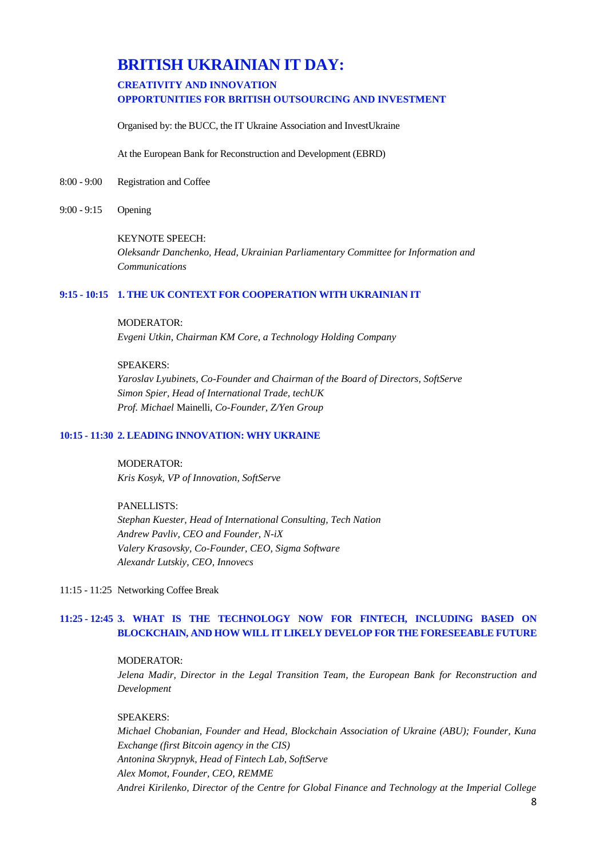# **BRITISH UKRAINIAN IT DAY:**

## **CREATIVITY AND INNOVATION OPPORTUNITIES FOR BRITISH OUTSOURCING AND INVESTMENT**

Organised by: the BUCC, the IT Ukraine Association and InvestUkraine

At the European Bank for Reconstruction and Development (EBRD)

- 8:00 9:00 Registration and Coffee
- 9:00 9:15 Opening

#### KEYNOTE SPEECH:

*Oleksandr Danchenko, Head, Ukrainian Parliamentary Committee for Information and Communications*

#### **9:15 - 10:15 1. THE UK CONTEXT FOR COOPERATION WITH UKRAINIAN IT**

#### MODERATOR:

*Evgeni Utkin, Chairman KM Core, a Technology Holding Company*

#### SPEAKERS:

*Yaroslav Lyubinets, Co-Founder and Chairman of the Board of Directors, SoftServe Simon Spier, Head of International Trade, techUK Prof. Michael* Mainelli*, Co-Founder, Z/Yen Group*

### **10:15 - 11:30 2. LEADING INNOVATION: WHY UKRAINE**

MODERATOR: *Kris Kosyk, VP of Innovation, SoftServe*

PANELLISTS: *Stephan Kuester, Head of International Consulting, Tech Nation Andrew Pavliv, CEO and Founder, N-iX Valery Krasovsky, Co-Founder, CEO, Sigma Software Alexandr Lutskiy, CEO, Innovecs* 

11:15 - 11:25 Networking Coffee Break

## **11:25 - 12:45 3. WHAT IS THE TECHNOLOGY NOW FOR FINTECH, INCLUDING BASED ON BLOCKCHAIN, AND HOW WILL IT LIKELY DEVELOP FOR THE FORESEEABLE FUTURE**

MODERATOR: *Jelena Madir, Director in the Legal Transition Team, the European Bank for Reconstruction and Development*

### SPEAKERS:

*Michael Chobanian, Founder and Head, Blockchain Association of Ukraine (ABU); Founder, Kuna Exchange (first Bitcoin agency in the CIS) Antonina Skrypnyk, Head of Fintech Lab, SoftServe Alex Momot, Founder, CEO, REMME Andrei Kirilenko, Director of the Centre for Global Finance and Technology at the Imperial College*